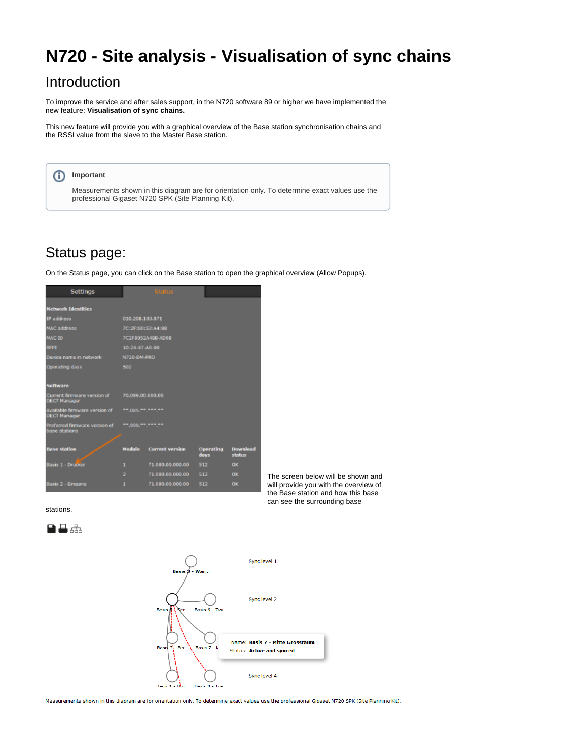# **N720 - Site analysis - Visualisation of sync chains**

### <span id="page-0-0"></span>Introduction

To improve the service and after sales support, in the N720 software 89 or higher we have implemented the new feature: **Visualisation of sync chains.**

This new feature will provide you with a graphical overview of the Base station synchronisation chains and the RSSI value from the slave to the Master Base station.



## <span id="page-0-1"></span>Status page:

On the Status page, you can click on the Base station to open the graphical overview (Allow Popups).



The screen below will be shown and will provide you with the overview of the Base station and how this base can see the surrounding base

stations.





Measurements shown in this diagram are for orientation only. To determine exact values use the professional Gigaset N720 SPK (Site Planning Kit).